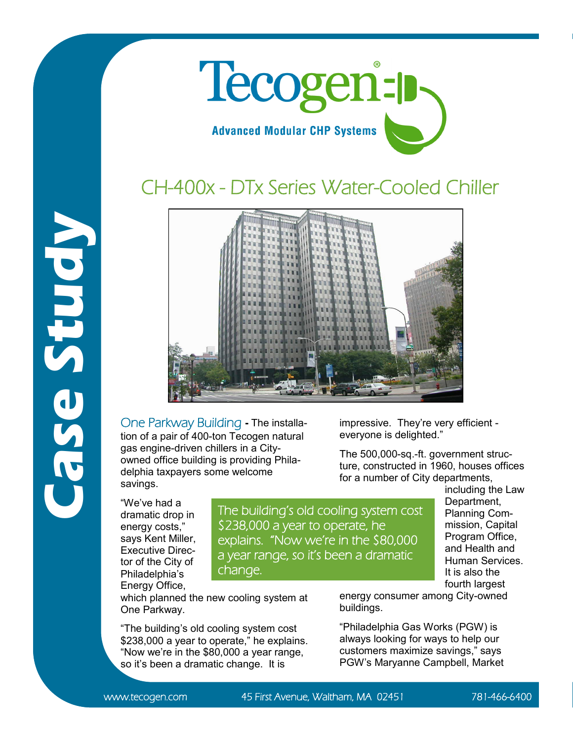

## CH-400x - DTx Series Water-Cooled Chiller



One Parkway Building **-** The installation of a pair of 400-ton Tecogen natural gas engine-driven chillers in a Cityowned office building is providing Philadelphia taxpayers some welcome savings.

"We've had a dramatic drop in energy costs," says Kent Miller, Executive Director of the City of Philadelphia's Energy Office,

**Case Study**

The building's old cooling system cost \$238,000 a year to operate, he explains. "Now we're in the \$80,000 a year range, so it's been a dramatic change.

which planned the new cooling system at One Parkway.

"The building's old cooling system cost \$238,000 a year to operate," he explains. "Now we're in the \$80,000 a year range, so it's been a dramatic change. It is

impressive. They're very efficient everyone is delighted."

The 500,000-sq.-ft. government structure, constructed in 1960, houses offices for a number of City departments,

> including the Law Department, Planning Commission, Capital Program Office, and Health and Human Services. It is also the fourth largest

energy consumer among City-owned buildings.

"Philadelphia Gas Works (PGW) is always looking for ways to help our customers maximize savings," says PGW's Maryanne Campbell, Market